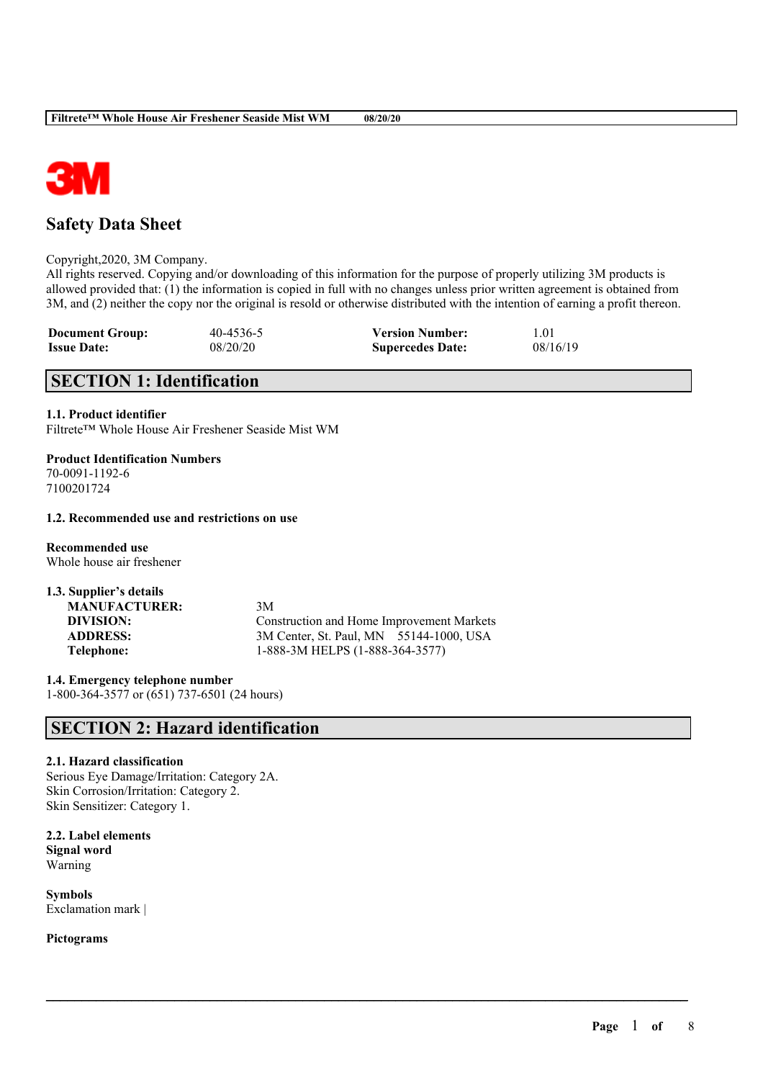

# **Safety Data Sheet**

Copyright,2020, 3M Company.

All rights reserved. Copying and/or downloading of this information for the purpose of properly utilizing 3M products is allowed provided that: (1) the information is copied in full with no changes unless prior written agreement is obtained from 3M, and (2) neither the copy nor the original is resold or otherwise distributed with the intention of earning a profit thereon.

| <b>Document Group:</b> | 40-4536-5 | <b>Version Number:</b>  | 1.01     |
|------------------------|-----------|-------------------------|----------|
| <b>Issue Date:</b>     | 08/20/20  | <b>Supercedes Date:</b> | 08/16/19 |

# **SECTION 1: Identification**

#### **1.1. Product identifier**

Filtrete™ Whole House Air Freshener Seaside Mist WM

**Product Identification Numbers** 70-0091-1192-6 7100201724

#### **1.2. Recommended use and restrictions on use**

**Recommended use** Whole house air freshener

**1.3. Supplier's details MANUFACTURER:** 3M

**DIVISION:** Construction and Home Improvement Markets **ADDRESS:** 3M Center, St. Paul, MN 55144-1000, USA **Telephone:** 1-888-3M HELPS (1-888-364-3577)

 $\mathcal{L}_\mathcal{L} = \mathcal{L}_\mathcal{L} = \mathcal{L}_\mathcal{L} = \mathcal{L}_\mathcal{L} = \mathcal{L}_\mathcal{L} = \mathcal{L}_\mathcal{L} = \mathcal{L}_\mathcal{L} = \mathcal{L}_\mathcal{L} = \mathcal{L}_\mathcal{L} = \mathcal{L}_\mathcal{L} = \mathcal{L}_\mathcal{L} = \mathcal{L}_\mathcal{L} = \mathcal{L}_\mathcal{L} = \mathcal{L}_\mathcal{L} = \mathcal{L}_\mathcal{L} = \mathcal{L}_\mathcal{L} = \mathcal{L}_\mathcal{L}$ 

**1.4. Emergency telephone number** 1-800-364-3577 or (651) 737-6501 (24 hours)

# **SECTION 2: Hazard identification**

#### **2.1. Hazard classification**

Serious Eye Damage/Irritation: Category 2A. Skin Corrosion/Irritation: Category 2. Skin Sensitizer: Category 1.

**2.2. Label elements Signal word** Warning

**Symbols** Exclamation mark |

**Pictograms**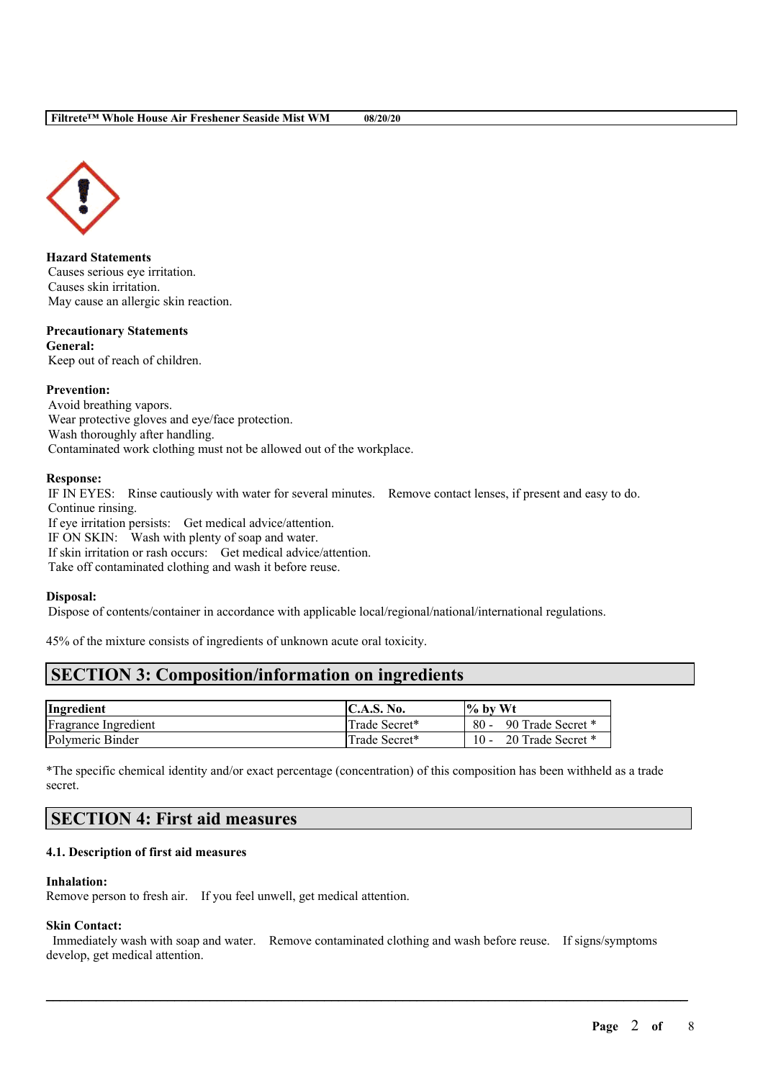

**Hazard Statements** Causes serious eye irritation. Causes skin irritation. May cause an allergic skin reaction.

#### **Precautionary Statements General:**

Keep out of reach of children.

#### **Prevention:**

Avoid breathing vapors. Wear protective gloves and eye/face protection. Wash thoroughly after handling. Contaminated work clothing must not be allowed out of the workplace.

#### **Response:**

IF IN EYES: Rinse cautiously with water for several minutes. Remove contact lenses, if present and easy to do. Continue rinsing.

If eye irritation persists: Get medical advice/attention. IF ON SKIN: Wash with plenty of soap and water. If skin irritation or rash occurs: Get medical advice/attention. Take off contaminated clothing and wash it before reuse.

#### **Disposal:**

Dispose of contents/container in accordance with applicable local/regional/national/international regulations.

45% of the mixture consists of ingredients of unknown acute oral toxicity.

# **SECTION 3: Composition/information on ingredients**

| Ingredient                  | C.A.S. No.    | $\%$ by Wt                  |
|-----------------------------|---------------|-----------------------------|
| <b>Fragrance Ingredient</b> | Trade Secret* | 90 Trade Secret *<br>$80 -$ |
| Polymeric Binder            | Trade Secret* | 20 Trade Secret *<br>$10 -$ |

\*The specific chemical identity and/or exact percentage (concentration) of this composition has been withheld as a trade secret.

## **SECTION 4: First aid measures**

#### **4.1. Description of first aid measures**

#### **Inhalation:**

Remove person to fresh air. If you feel unwell, get medical attention.

#### **Skin Contact:**

Immediately wash with soap and water. Remove contaminated clothing and wash before reuse. If signs/symptoms develop, get medical attention.

 $\mathcal{L}_\mathcal{L} = \mathcal{L}_\mathcal{L} = \mathcal{L}_\mathcal{L} = \mathcal{L}_\mathcal{L} = \mathcal{L}_\mathcal{L} = \mathcal{L}_\mathcal{L} = \mathcal{L}_\mathcal{L} = \mathcal{L}_\mathcal{L} = \mathcal{L}_\mathcal{L} = \mathcal{L}_\mathcal{L} = \mathcal{L}_\mathcal{L} = \mathcal{L}_\mathcal{L} = \mathcal{L}_\mathcal{L} = \mathcal{L}_\mathcal{L} = \mathcal{L}_\mathcal{L} = \mathcal{L}_\mathcal{L} = \mathcal{L}_\mathcal{L}$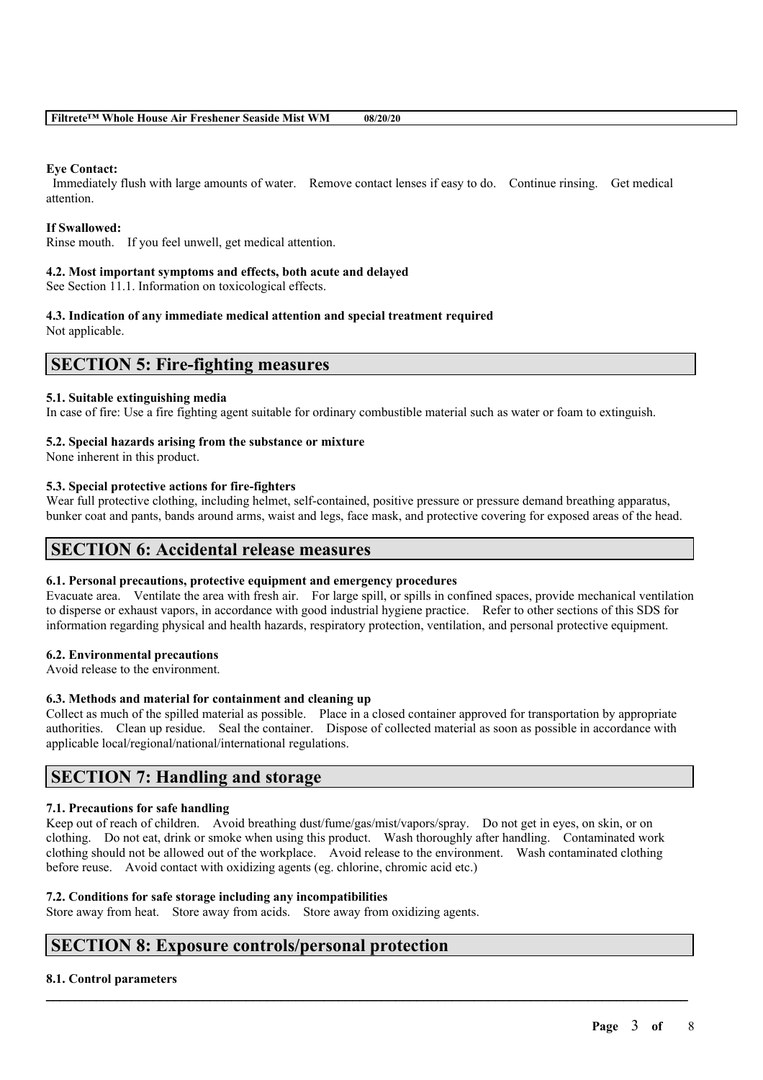#### **Eye Contact:**

Immediately flush with large amounts of water. Remove contact lenses if easy to do. Continue rinsing. Get medical attention.

#### **If Swallowed:**

Rinse mouth. If you feel unwell, get medical attention.

#### **4.2. Most important symptoms and effects, both acute and delayed**

See Section 11.1. Information on toxicological effects.

#### **4.3. Indication of any immediate medical attention and special treatment required**

Not applicable.

## **SECTION 5: Fire-fighting measures**

#### **5.1. Suitable extinguishing media**

In case of fire: Use a fire fighting agent suitable for ordinary combustible material such as water or foam to extinguish.

#### **5.2. Special hazards arising from the substance or mixture**

None inherent in this product.

#### **5.3. Special protective actions for fire-fighters**

Wear full protective clothing, including helmet, self-contained, positive pressure or pressure demand breathing apparatus, bunker coat and pants, bands around arms, waist and legs, face mask, and protective covering for exposed areas of the head.

## **SECTION 6: Accidental release measures**

#### **6.1. Personal precautions, protective equipment and emergency procedures**

Evacuate area. Ventilate the area with fresh air. For large spill, or spills in confined spaces, provide mechanical ventilation to disperse or exhaust vapors, in accordance with good industrial hygiene practice. Refer to other sections of this SDS for information regarding physical and health hazards, respiratory protection, ventilation, and personal protective equipment.

#### **6.2. Environmental precautions**

Avoid release to the environment.

#### **6.3. Methods and material for containment and cleaning up**

Collect as much of the spilled material as possible. Place in a closed container approved for transportation by appropriate authorities. Clean up residue. Seal the container. Dispose of collected material as soon as possible in accordance with applicable local/regional/national/international regulations.

## **SECTION 7: Handling and storage**

#### **7.1. Precautions for safe handling**

Keep out of reach of children. Avoid breathing dust/fume/gas/mist/vapors/spray. Do not get in eyes, on skin, or on clothing. Do not eat, drink or smoke when using this product. Wash thoroughly after handling. Contaminated work clothing should not be allowed out of the workplace. Avoid release to the environment. Wash contaminated clothing before reuse. Avoid contact with oxidizing agents (eg. chlorine, chromic acid etc.)

 $\mathcal{L}_\mathcal{L} = \mathcal{L}_\mathcal{L} = \mathcal{L}_\mathcal{L} = \mathcal{L}_\mathcal{L} = \mathcal{L}_\mathcal{L} = \mathcal{L}_\mathcal{L} = \mathcal{L}_\mathcal{L} = \mathcal{L}_\mathcal{L} = \mathcal{L}_\mathcal{L} = \mathcal{L}_\mathcal{L} = \mathcal{L}_\mathcal{L} = \mathcal{L}_\mathcal{L} = \mathcal{L}_\mathcal{L} = \mathcal{L}_\mathcal{L} = \mathcal{L}_\mathcal{L} = \mathcal{L}_\mathcal{L} = \mathcal{L}_\mathcal{L}$ 

#### **7.2. Conditions for safe storage including any incompatibilities**

Store away from heat. Store away from acids. Store away from oxidizing agents.

## **SECTION 8: Exposure controls/personal protection**

#### **8.1. Control parameters**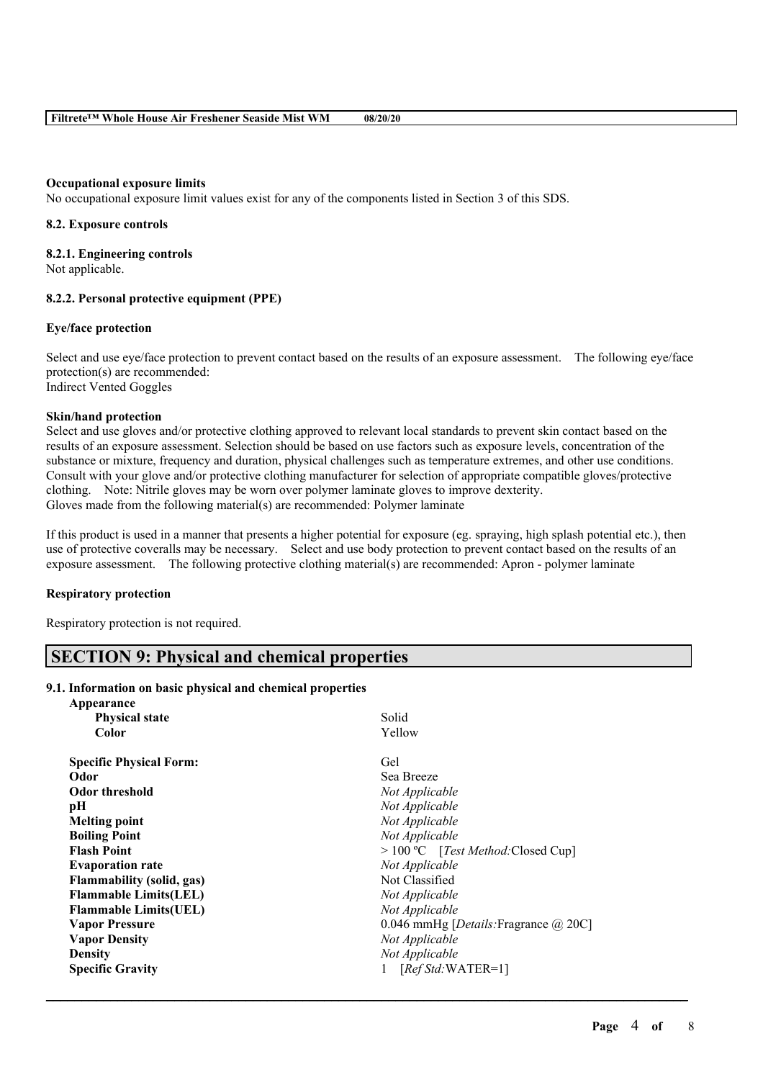#### **Occupational exposure limits**

No occupational exposure limit values exist for any of the components listed in Section 3 of this SDS.

#### **8.2. Exposure controls**

**8.2.1. Engineering controls** Not applicable.

#### **8.2.2. Personal protective equipment (PPE)**

#### **Eye/face protection**

Select and use eye/face protection to prevent contact based on the results of an exposure assessment. The following eye/face protection(s) are recommended: Indirect Vented Goggles

#### **Skin/hand protection**

Select and use gloves and/or protective clothing approved to relevant local standards to prevent skin contact based on the results of an exposure assessment. Selection should be based on use factors such as exposure levels, concentration of the substance or mixture, frequency and duration, physical challenges such as temperature extremes, and other use conditions. Consult with your glove and/or protective clothing manufacturer for selection of appropriate compatible gloves/protective clothing. Note: Nitrile gloves may be worn over polymer laminate gloves to improve dexterity. Gloves made from the following material(s) are recommended: Polymer laminate

If this product is used in a manner that presents a higher potential for exposure (eg. spraying, high splash potential etc.), then use of protective coveralls may be necessary. Select and use body protection to prevent contact based on the results of an exposure assessment. The following protective clothing material(s) are recommended: Apron - polymer laminate

#### **Respiratory protection**

Respiratory protection is not required.

# **SECTION 9: Physical and chemical properties**

#### **9.1. Information on basic physical and chemical properties**

| Appearance                     |                                                       |
|--------------------------------|-------------------------------------------------------|
| <b>Physical state</b>          | Solid                                                 |
| Color                          | Yellow                                                |
| <b>Specific Physical Form:</b> | Gel                                                   |
| Odor                           | Sea Breeze                                            |
| <b>Odor threshold</b>          | Not Applicable                                        |
| pН                             | Not Applicable                                        |
| <b>Melting point</b>           | Not Applicable                                        |
| <b>Boiling Point</b>           | Not Applicable                                        |
| <b>Flash Point</b>             | $> 100 °C$ [Test Method: Closed Cup]                  |
| <b>Evaporation rate</b>        | Not Applicable                                        |
| Flammability (solid, gas)      | Not Classified                                        |
| <b>Flammable Limits(LEL)</b>   | Not Applicable                                        |
| <b>Flammable Limits (UEL)</b>  | Not Applicable                                        |
| <b>Vapor Pressure</b>          | 0.046 mmHg [ <i>Details</i> : Fragrance $\omega$ 20C] |
| <b>Vapor Density</b>           | Not Applicable                                        |
| <b>Density</b>                 | Not Applicable                                        |
| <b>Specific Gravity</b>        | $[RefStd:WATER=1]$                                    |
|                                |                                                       |

 $\mathcal{L}_\mathcal{L} = \mathcal{L}_\mathcal{L} = \mathcal{L}_\mathcal{L} = \mathcal{L}_\mathcal{L} = \mathcal{L}_\mathcal{L} = \mathcal{L}_\mathcal{L} = \mathcal{L}_\mathcal{L} = \mathcal{L}_\mathcal{L} = \mathcal{L}_\mathcal{L} = \mathcal{L}_\mathcal{L} = \mathcal{L}_\mathcal{L} = \mathcal{L}_\mathcal{L} = \mathcal{L}_\mathcal{L} = \mathcal{L}_\mathcal{L} = \mathcal{L}_\mathcal{L} = \mathcal{L}_\mathcal{L} = \mathcal{L}_\mathcal{L}$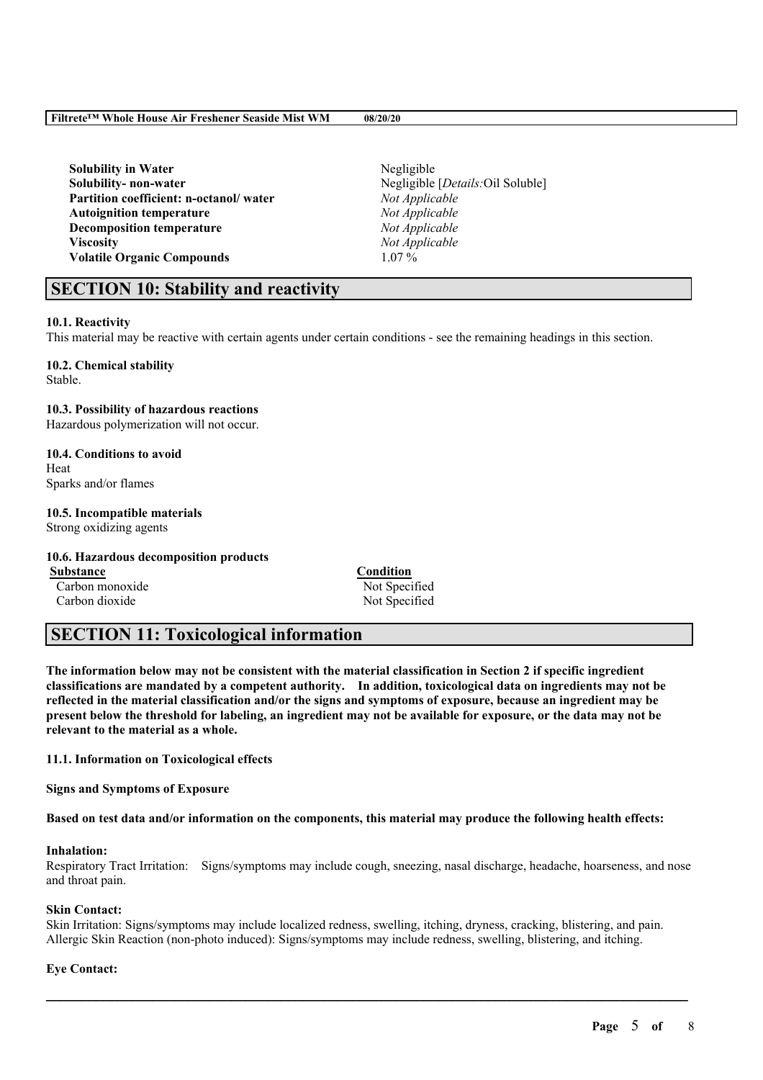**Solubility** in Water Negligible **Solubility- non-water** Negligible [*Details:*Oil Soluble] **Partition coefficient: n-octanol/ water** *Not Applicable* **Autoignition temperature** *Not Applicable* **Decomposition temperature** *Not Applicable* **Viscosity** *Not Applicable* **Volatile Organic Compounds** 1.07 %

# **SECTION 10: Stability and reactivity**

#### **10.1. Reactivity**

This material may be reactive with certain agents under certain conditions - see the remaining headings in this section.

## **10.2. Chemical stability**

Stable.

#### **10.3. Possibility of hazardous reactions**

Hazardous polymerization will not occur.

# **10.4. Conditions to avoid**

Heat Sparks and/or flames

#### **10.5. Incompatible materials**

Strong oxidizing agents

#### **10.6. Hazardous decomposition products**

**Substance Condition** Carbon monoxide Not Specified

Carbon dioxide Not Specified

# **SECTION 11: Toxicological information**

The information below may not be consistent with the material classification in Section 2 if specific ingredient **classifications are mandated by a competent authority. In addition, toxicological data on ingredients may not be** reflected in the material classification and/or the signs and symptoms of exposure, because an ingredient may be present below the threshold for labeling, an ingredient may not be available for exposure, or the data may not be **relevant to the material as a whole.**

#### **11.1. Information on Toxicological effects**

**Signs and Symptoms of Exposure**

Based on test data and/or information on the components, this material may produce the following health effects:

## **Inhalation:**

Respiratory Tract Irritation: Signs/symptoms may include cough, sneezing, nasal discharge, headache, hoarseness, and nose and throat pain.

#### **Skin Contact:**

Skin Irritation: Signs/symptoms may include localized redness, swelling, itching, dryness, cracking, blistering, and pain. Allergic Skin Reaction (non-photo induced): Signs/symptoms may include redness, swelling, blistering, and itching.

 $\mathcal{L}_\mathcal{L} = \mathcal{L}_\mathcal{L} = \mathcal{L}_\mathcal{L} = \mathcal{L}_\mathcal{L} = \mathcal{L}_\mathcal{L} = \mathcal{L}_\mathcal{L} = \mathcal{L}_\mathcal{L} = \mathcal{L}_\mathcal{L} = \mathcal{L}_\mathcal{L} = \mathcal{L}_\mathcal{L} = \mathcal{L}_\mathcal{L} = \mathcal{L}_\mathcal{L} = \mathcal{L}_\mathcal{L} = \mathcal{L}_\mathcal{L} = \mathcal{L}_\mathcal{L} = \mathcal{L}_\mathcal{L} = \mathcal{L}_\mathcal{L}$ 

#### **Eye Contact:**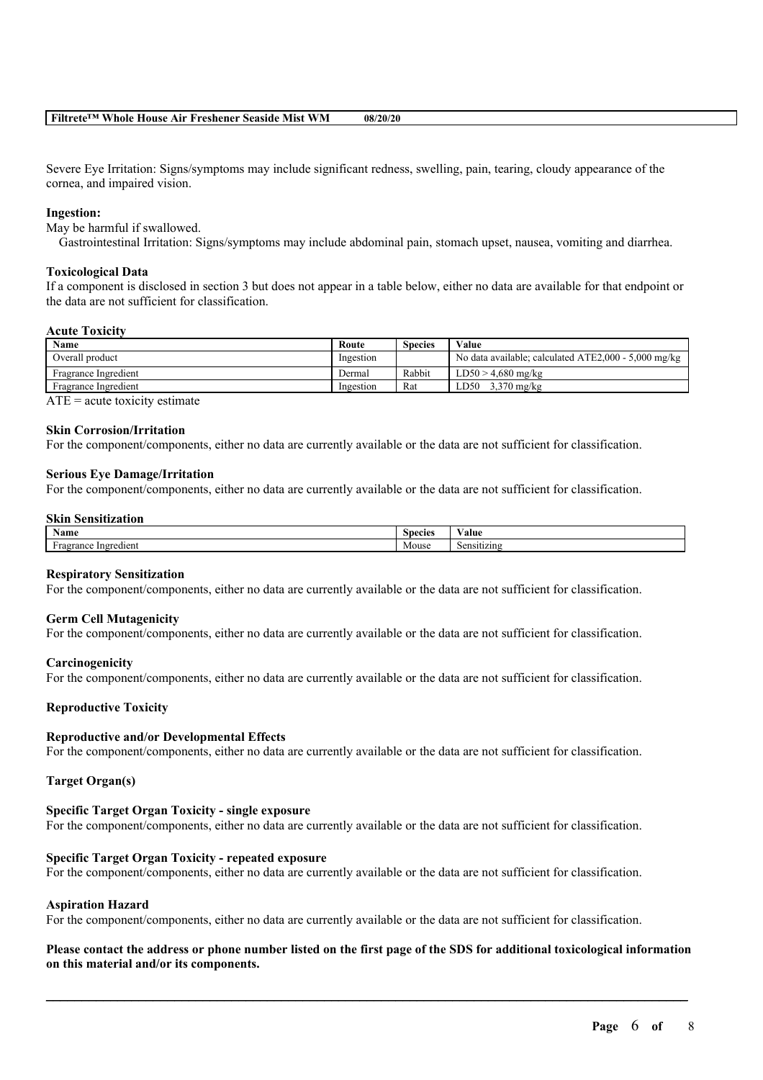#### **Filtrete™ Whole House Air Freshener Seaside Mist WM 08/20/20**

Severe Eye Irritation: Signs/symptoms may include significant redness, swelling, pain, tearing, cloudy appearance of the cornea, and impaired vision.

#### **Ingestion:**

May be harmful if swallowed.

Gastrointestinal Irritation: Signs/symptoms may include abdominal pain, stomach upset, nausea, vomiting and diarrhea.

#### **Toxicological Data**

If a component is disclosed in section 3 but does not appear in a table below, either no data are available for that endpoint or the data are not sufficient for classification.

#### **Acute Toxicity**

| Name                 | Route     | <b>Species</b> | Value                                                |
|----------------------|-----------|----------------|------------------------------------------------------|
| Overall product      | Ingestion |                | No data available; calculated ATE2,000 - 5,000 mg/kg |
| Fragrance Ingredient | Dermal    | Rabbit         | $LD50 > 4.680$ mg/kg                                 |
| Fragrance Ingredient | Ingestion | Rat            | 3.370 mg/kg<br>LD50                                  |

 $ATE = acute$  toxicity estimate

#### **Skin Corrosion/Irritation**

For the component/components, either no data are currently available or the data are not sufficient for classification.

#### **Serious Eye Damage/Irritation**

For the component/components, either no data are currently available or the data are not sufficient for classification.

#### **Skin Sensitization**

| . .<br>Name                 | specie | 'alue      |
|-----------------------------|--------|------------|
| ×<br>Ingredient<br>ragrance | Mouse  | .1Sitizing |

#### **Respiratory Sensitization**

For the component/components, either no data are currently available or the data are not sufficient for classification.

#### **Germ Cell Mutagenicity**

For the component/components, either no data are currently available or the data are not sufficient for classification.

#### **Carcinogenicity**

For the component/components, either no data are currently available or the data are not sufficient for classification.

#### **Reproductive Toxicity**

#### **Reproductive and/or Developmental Effects**

For the component/components, either no data are currently available or the data are not sufficient for classification.

#### **Target Organ(s)**

#### **Specific Target Organ Toxicity - single exposure**

For the component/components, either no data are currently available or the data are not sufficient for classification.

#### **Specific Target Organ Toxicity - repeated exposure**

For the component/components, either no data are currently available or the data are not sufficient for classification.

#### **Aspiration Hazard**

For the component/components, either no data are currently available or the data are not sufficient for classification.

#### Please contact the address or phone number listed on the first page of the SDS for additional toxicological information **on this material and/or its components.**

 $\mathcal{L}_\mathcal{L} = \mathcal{L}_\mathcal{L} = \mathcal{L}_\mathcal{L} = \mathcal{L}_\mathcal{L} = \mathcal{L}_\mathcal{L} = \mathcal{L}_\mathcal{L} = \mathcal{L}_\mathcal{L} = \mathcal{L}_\mathcal{L} = \mathcal{L}_\mathcal{L} = \mathcal{L}_\mathcal{L} = \mathcal{L}_\mathcal{L} = \mathcal{L}_\mathcal{L} = \mathcal{L}_\mathcal{L} = \mathcal{L}_\mathcal{L} = \mathcal{L}_\mathcal{L} = \mathcal{L}_\mathcal{L} = \mathcal{L}_\mathcal{L}$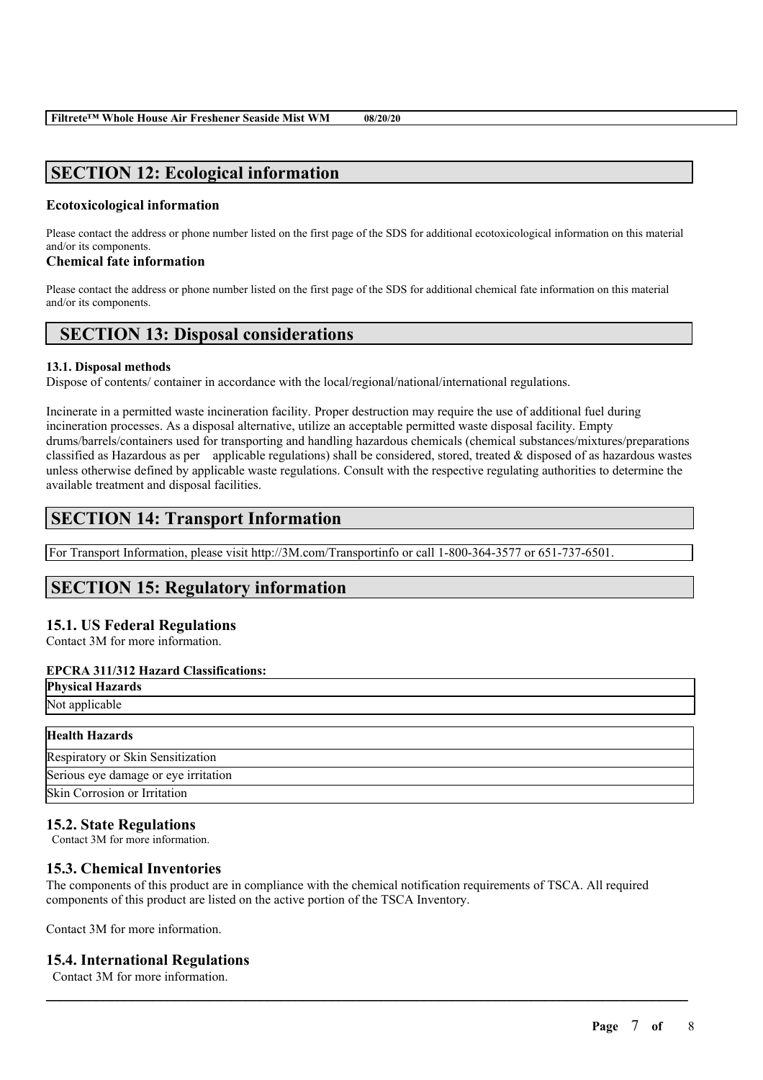# **SECTION 12: Ecological information**

### **Ecotoxicological information**

Please contact the address or phone number listed on the first page of the SDS for additional ecotoxicological information on this material and/or its components.

#### **Chemical fate information**

Please contact the address or phone number listed on the first page of the SDS for additional chemical fate information on this material and/or its components.

# **SECTION 13: Disposal considerations**

#### **13.1. Disposal methods**

Dispose of contents/ container in accordance with the local/regional/national/international regulations.

Incinerate in a permitted waste incineration facility. Proper destruction may require the use of additional fuel during incineration processes. As a disposal alternative, utilize an acceptable permitted waste disposal facility. Empty drums/barrels/containers used for transporting and handling hazardous chemicals (chemical substances/mixtures/preparations classified as Hazardous as per applicable regulations) shall be considered, stored, treated  $\&$  disposed of as hazardous wastes unless otherwise defined by applicable waste regulations. Consult with the respective regulating authorities to determine the available treatment and disposal facilities.

# **SECTION 14: Transport Information**

For Transport Information, please visit http://3M.com/Transportinfo or call 1-800-364-3577 or 651-737-6501.

# **SECTION 15: Regulatory information**

### **15.1. US Federal Regulations**

Contact 3M for more information.

#### **EPCRA 311/312 Hazard Classifications:**

**Physical Hazards** Not applicable

| <b>Health Hazards</b>                |
|--------------------------------------|
| Respiratory or Skin Sensitization    |
| Serious eye damage or eye irritation |
| Skin Corrosion or Irritation         |

## **15.2. State Regulations**

Contact 3M for more information.

## **15.3. Chemical Inventories**

The components of this product are in compliance with the chemical notification requirements of TSCA. All required components of this product are listed on the active portion of the TSCA Inventory.

 $\mathcal{L}_\mathcal{L} = \mathcal{L}_\mathcal{L} = \mathcal{L}_\mathcal{L} = \mathcal{L}_\mathcal{L} = \mathcal{L}_\mathcal{L} = \mathcal{L}_\mathcal{L} = \mathcal{L}_\mathcal{L} = \mathcal{L}_\mathcal{L} = \mathcal{L}_\mathcal{L} = \mathcal{L}_\mathcal{L} = \mathcal{L}_\mathcal{L} = \mathcal{L}_\mathcal{L} = \mathcal{L}_\mathcal{L} = \mathcal{L}_\mathcal{L} = \mathcal{L}_\mathcal{L} = \mathcal{L}_\mathcal{L} = \mathcal{L}_\mathcal{L}$ 

Contact 3M for more information.

### **15.4. International Regulations**

Contact 3M for more information.